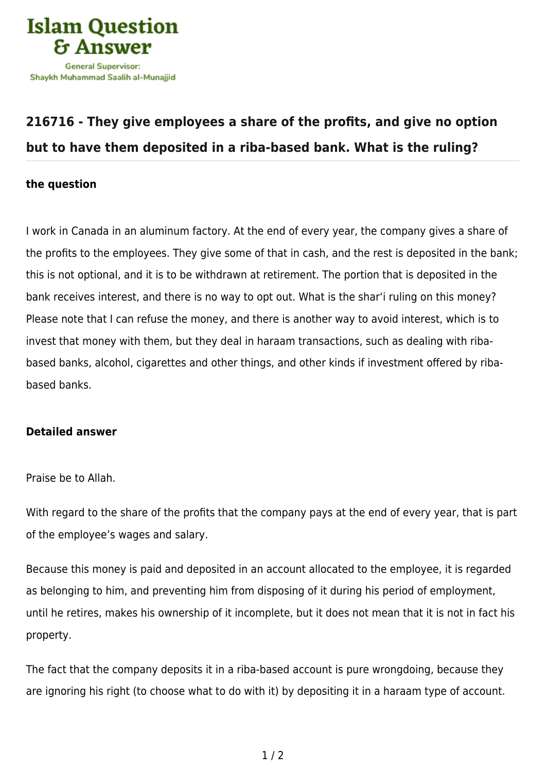

## **[216716 - They give employees a share of the profits, and give no option](https://islamqa.com/en/answers/216716/they-give-employees-a-share-of-the-profits-and-give-no-option-but-to-have-them-deposited-in-a-riba-based-bank-what-is-the-ruling) [but to have them deposited in a riba-based bank. What is the ruling?](https://islamqa.com/en/answers/216716/they-give-employees-a-share-of-the-profits-and-give-no-option-but-to-have-them-deposited-in-a-riba-based-bank-what-is-the-ruling)**

## **the question**

I work in Canada in an aluminum factory. At the end of every year, the company gives a share of the profits to the employees. They give some of that in cash, and the rest is deposited in the bank; this is not optional, and it is to be withdrawn at retirement. The portion that is deposited in the bank receives interest, and there is no way to opt out. What is the shar'i ruling on this money? Please note that I can refuse the money, and there is another way to avoid interest, which is to invest that money with them, but they deal in haraam transactions, such as dealing with ribabased banks, alcohol, cigarettes and other things, and other kinds if investment offered by ribabased banks.

## **Detailed answer**

Praise be to Allah.

With regard to the share of the profits that the company pays at the end of every year, that is part of the employee's wages and salary.

Because this money is paid and deposited in an account allocated to the employee, it is regarded as belonging to him, and preventing him from disposing of it during his period of employment, until he retires, makes his ownership of it incomplete, but it does not mean that it is not in fact his property.

The fact that the company deposits it in a riba-based account is pure wrongdoing, because they are ignoring his right (to choose what to do with it) by depositing it in a haraam type of account.